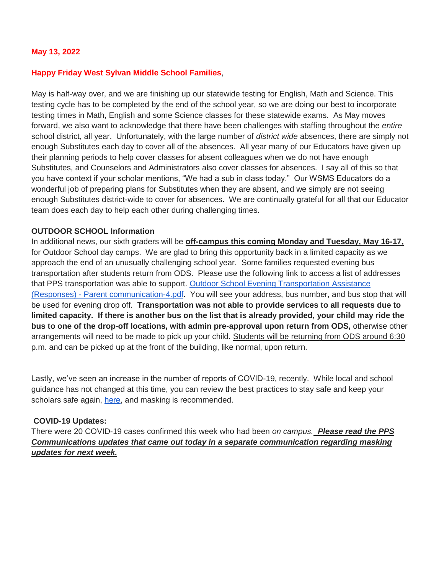### **May 13, 2022**

#### **Happy Friday West Sylvan Middle School Families**,

May is half-way over, and we are finishing up our statewide testing for English, Math and Science. This testing cycle has to be completed by the end of the school year, so we are doing our best to incorporate testing times in Math, English and some Science classes for these statewide exams. As May moves forward, we also want to acknowledge that there have been challenges with staffing throughout the *entire*  school district, all year. Unfortunately, with the large number of *district wide* absences, there are simply not enough Substitutes each day to cover all of the absences. All year many of our Educators have given up their planning periods to help cover classes for absent colleagues when we do not have enough Substitutes, and Counselors and Administrators also cover classes for absences. I say all of this so that you have context if your scholar mentions, "We had a sub in class today." Our WSMS Educators do a wonderful job of preparing plans for Substitutes when they are absent, and we simply are not seeing enough Substitutes district-wide to cover for absences. We are continually grateful for all that our Educator team does each day to help each other during challenging times.

#### **OUTDOOR SCHOOL Information**

In additional news, our sixth graders will be **off-campus this coming Monday and Tuesday, May 16-17,**  for Outdoor School day camps. We are glad to bring this opportunity back in a limited capacity as we approach the end of an unusually challenging school year. Some families requested evening bus transportation after students return from ODS. Please use the following link to access a list of addresses that PPS transportation was able to support. [Outdoor School Evening Transportation Assistance](https://drive.google.com/open?id=1M4DdTZ5cvUVYnSeQ88xBKBMeuael_hET)  (Responses) - [Parent communication-4.pdf.](https://drive.google.com/open?id=1M4DdTZ5cvUVYnSeQ88xBKBMeuael_hET) You will see your address, bus number, and bus stop that will be used for evening drop off. **Transportation was not able to provide services to all requests due to limited capacity. If there is another bus on the list that is already provided, your child may ride the bus to one of the drop-off locations, with admin pre-approval upon return from ODS,** otherwise other arrangements will need to be made to pick up your child. Students will be returning from ODS around 6:30 p.m. and can be picked up at the front of the building, like normal, upon return.

Lastly, we've seen an increase in the number of reports of COVID-19, recently. While local and school guidance has not changed at this time, you can review the best practices to stay safe and keep your scholars safe again, [here,](https://www.pps.net/backtoschool2021) and masking is recommended.

### **COVID-19 Updates:**

There were 20 COVID-19 cases confirmed this week who had been *on campus. Please read the PPS Communications updates that came out today in a separate communication regarding masking updates for next week.*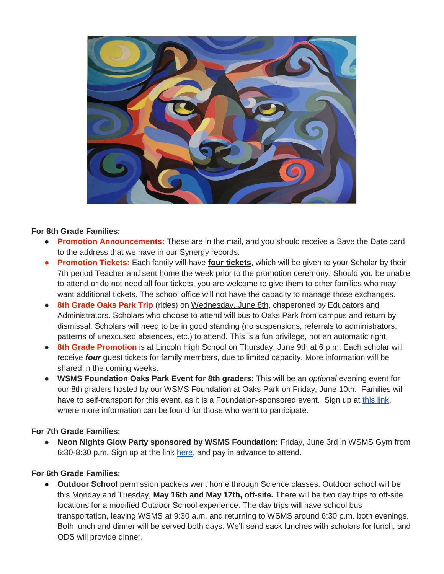

### **For 8th Grade Families:**

- **Promotion Announcements:** These are in the mail, and you should receive a Save the Date card to the address that we have in our Synergy records.
- **Promotion Tickets:** Each family will have **four tickets**, which will be given to your Scholar by their 7th period Teacher and sent home the week prior to the promotion ceremony. Should you be unable to attend or do not need all four tickets, you are welcome to give them to other families who may want additional tickets. The school office will not have the capacity to manage those exchanges.
- **8th Grade Oaks Park Trip** (rides) on Wednesday, June 8th, chaperoned by Educators and Administrators. Scholars who choose to attend will bus to Oaks Park from campus and return by dismissal. Scholars will need to be in good standing (no suspensions, referrals to administrators, patterns of unexcused absences, etc.) to attend. This is a fun privilege, not an automatic right.
- **8th Grade Promotion** is at Lincoln High School on Thursday, June 9th at 6 p.m. Each scholar will receive *four* guest tickets for family members, due to limited capacity. More information will be shared in the coming weeks.
- **WSMS Foundation Oaks Park Event for 8th graders:** This will be an *optional* evening event for our 8th graders hosted by our WSMS Foundation at Oaks Park on Friday, June 10th. Families will have to self-transport for this event, as it is a Foundation-sponsored event. Sign up at [this link,](https://www.westsylvanfoundation.com/parties/8th-grade-graduation-dance-party) where more information can be found for those who want to participate.

### **For 7th Grade Families:**

● **Neon Nights Glow Party sponsored by WSMS Foundation:** Friday, June 3rd in WSMS Gym from 6:30-8:30 p.m. Sign up at the link [here,](https://www.westsylvanfoundation.com/parties/7thgradeglowparty) and pay in advance to attend.

# **For 6th Grade Families:**

**Outdoor School** permission packets went home through Science classes. Outdoor school will be this Monday and Tuesday, **May 16th and May 17th, off-site.** There will be two day trips to off-site locations for a modified Outdoor School experience. The day trips will have school bus transportation, leaving WSMS at 9:30 a.m. and returning to WSMS around 6:30 p.m. both evenings. Both lunch and dinner will be served both days. We'll send sack lunches with scholars for lunch, and ODS will provide dinner.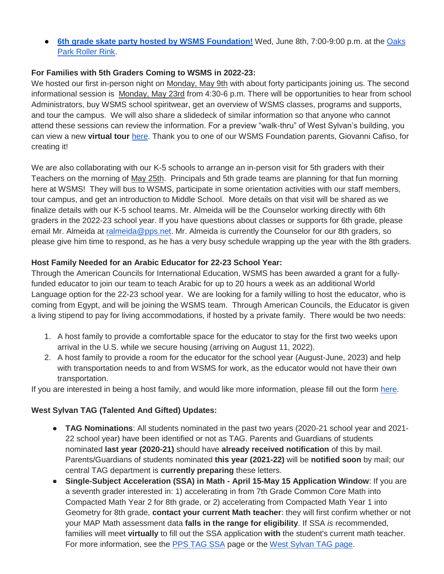● **[6th grade skate party hosted by WSMS Foundation!](https://drive.google.com/file/d/1HX8ZSQKzyqWvLRfXLGu2Y1wta5BjPMTa/view?usp=sharing)** Wed, June 8th, 7:00-9:00 p.m. at the [Oaks](https://www.oakspark.com/roller-skating-rink)  [Park Roller Rink.](https://www.oakspark.com/roller-skating-rink)

### **For Families with 5th Graders Coming to WSMS in 2022-23:**

We hosted our first in-person night on Monday, May 9th with about forty participants joining us. The second informational session is Monday, May 23rd from 4:30-6 p.m. There will be opportunities to hear from school Administrators, buy WSMS school spiritwear, get an overview of WSMS classes, programs and supports, and tour the campus. We will also share a slidedeck of similar information so that anyone who cannot attend these sessions can review the information. For a preview "walk-thru" of West Sylvan's building, you can view a new **virtual tour** [here.](https://my.matterport.com/show/?m=hR5ohrTKjow) Thank you to one of our WSMS Foundation parents, Giovanni Cafiso, for creating it!

We are also collaborating with our K-5 schools to arrange an in-person visit for 5th graders with their Teachers on the morning of May 25th. Principals and 5th grade teams are planning for that fun morning here at WSMS! They will bus to WSMS, participate in some orientation activities with our staff members, tour campus, and get an introduction to Middle School. More details on that visit will be shared as we finalize details with our K-5 school teams. Mr. Almeida will be the Counselor working directly with 6th graders in the 2022-23 school year. If you have questions about classes or supports for 6th grade, please email Mr. Almeida at [ralmeida@pps.net.](mailto:ralmeida@pps.net) Mr. Almeida is currently the Counselor for our 8th graders, so please give him time to respond, as he has a very busy schedule wrapping up the year with the 8th graders.

### **Host Family Needed for an Arabic Educator for 22-23 School Year:**

Through the American Councils for International Education, WSMS has been awarded a grant for a fullyfunded educator to join our team to teach Arabic for up to 20 hours a week as an additional World Language option for the 22-23 school year. We are looking for a family willing to host the educator, who is coming from Egypt, and will be joining the WSMS team. Through American Councils, the Educator is given a living stipend to pay for living accommodations, if hosted by a private family. There would be two needs:

- 1. A host family to provide a comfortable space for the educator to stay for the first two weeks upon arrival in the U.S. while we secure housing (arriving on August 11, 2022).
- 2. A host family to provide a room for the educator for the school year (August-June, 2023) and help with transportation needs to and from WSMS for work, as the educator would not have their own transportation.

If you are interested in being a host family, and would like more information, please fill out the form [here.](https://forms.gle/Ljte5CwpWQZtUZCN6)

# **West Sylvan TAG (Talented And Gifted) Updates:**

- **TAG Nominations**: All students nominated in the past two years (2020-21 school year and 2021- 22 school year) have been identified or not as TAG. Parents and Guardians of students nominated **last year (2020-21)** should have **already received notification** of this by mail. Parents/Guardians of students nominated **this year (2021-22)** will be **notified soon** by mail; our central TAG department is **currently preparing** these letters.
- **Single-Subject Acceleration (SSA) in Math - April 15-May 15 Application Window**: If you are a seventh grader interested in: 1) accelerating in from 7th Grade Common Core Math into Compacted Math Year 2 for 8th grade, or 2) accelerating from Compacted Math Year 1 into Geometry for 8th grade, **contact your current Math teacher**: they will first confirm whether or not your MAP Math assessment data **falls in the range for eligibility**. If SSA *is* recommended, families will meet **virtually** to fill out the SSA application **with** the student's current math teacher. For more information, see the [PPS TAG SSA](https://www.pps.net/Page/2886) page or the [West Sylvan TAG page.](https://sites.google.com/pps.net/west-sylvan-tag/)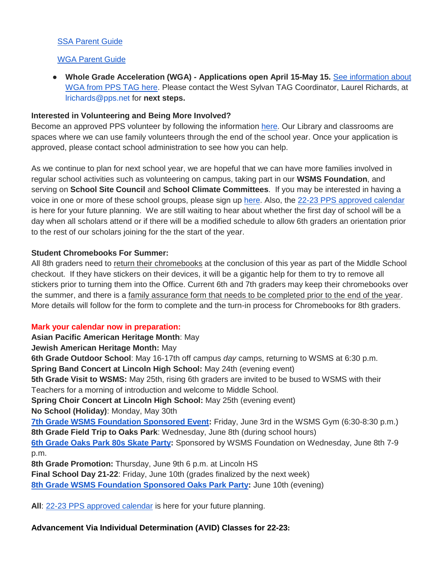## [SSA Parent Guide](https://drive.google.com/file/d/1uyNxlw2MiYVSYrKfgEChsEQjTWw-Fz_V/view?usp=sharing)

## [WGA Parent Guide](https://drive.google.com/file/d/1AT8aGRXhvghzlB3N1zRAvzEdnpgH_EtN/view?usp=sharing)

● **Whole Grade Acceleration (WGA) - Applications open April 15-May 15.** [See information about](https://www.pps.net/Page/2888)  [WGA from PPS TAG here.](https://www.pps.net/Page/2888) Please contact the West Sylvan TAG Coordinator, Laurel Richards, at lrichards@pps.net for **next steps.**

### **Interested in Volunteering and Being More Involved?**

Become an approved PPS volunteer by following the information [here.](https://www.pps.net/volunteer) Our Library and classrooms are spaces where we can use family volunteers through the end of the school year. Once your application is approved, please contact school administration to see how you can help.

As we continue to plan for next school year, we are hopeful that we can have more families involved in regular school activities such as volunteering on campus, taking part in our **WSMS Foundation**, and serving on **School Site Council** and **School Climate Committees**. If you may be interested in having a voice in one or more of these school groups, please sign up [here.](https://forms.gle/FSm61TFDpf34yZ2e9) Also, the [22-23 PPS approved calendar](https://drive.google.com/file/d/16EfYsTSv4zPCaLpkxQlc5eFqWAvIDBtl/view?usp=sharing) is here for your future planning. We are still waiting to hear about whether the first day of school will be a day when all scholars attend or if there will be a modified schedule to allow 6th graders an orientation prior to the rest of our scholars joining for the the start of the year.

### **Student Chromebooks For Summer:**

All 8th graders need to return their chromebooks at the conclusion of this year as part of the Middle School checkout. If they have stickers on their devices, it will be a gigantic help for them to try to remove all stickers prior to turning them into the Office. Current 6th and 7th graders may keep their chromebooks over the summer, and there is a family assurance form that needs to be completed prior to the end of the year. More details will follow for the form to complete and the turn-in process for Chromebooks for 8th graders.

### **Mark your calendar now in preparation:**

**Asian Pacific American Heritage Month**: May

### **Jewish American Heritage Month:** May

**6th Grade Outdoor School**: May 16-17th off campus *day* camps, returning to WSMS at 6:30 p.m.

**Spring Band Concert at Lincoln High School:** May 24th (evening event)

**5th Grade Visit to WSMS:** May 25th, rising 6th graders are invited to be bused to WSMS with their Teachers for a morning of introduction and welcome to Middle School.

**Spring Choir Concert at Lincoln High School:** May 25th (evening event)

**No School (Holiday)**: Monday, May 30th

**[7th Grade WSMS Foundation Sponsored Event:](https://www.westsylvanfoundation.com/parties/7thgradeglowparty)** Friday, June 3rd in the WSMS Gym (6:30-8:30 p.m.) **8th Grade Field Trip to Oaks Park**: Wednesday, June 8th (during school hours)

**[6th Grade Oaks Park 80s Skate Party:](https://drive.google.com/file/d/1HX8ZSQKzyqWvLRfXLGu2Y1wta5BjPMTa/view?usp=sharing)** Sponsored by WSMS Foundation on Wednesday, June 8th 7-9 p.m.

**8th Grade Promotion:** Thursday, June 9th 6 p.m. at Lincoln HS

**Final School Day 21-22**: Friday, June 10th (grades finalized by the next week)

**[8th Grade WSMS Foundation Sponsored Oaks Park Party:](https://drive.google.com/file/d/1Xmnh7GZQ4CeU37XYKCGmhbngkxRpoOOp/view?usp=sharing)** June 10th (evening)

All: [22-23 PPS approved calendar](https://drive.google.com/file/d/16EfYsTSv4zPCaLpkxQlc5eFqWAvIDBtl/view?usp=sharing) is here for your future planning.

**Advancement Via Individual Determination (AVID) Classes for 22-23:**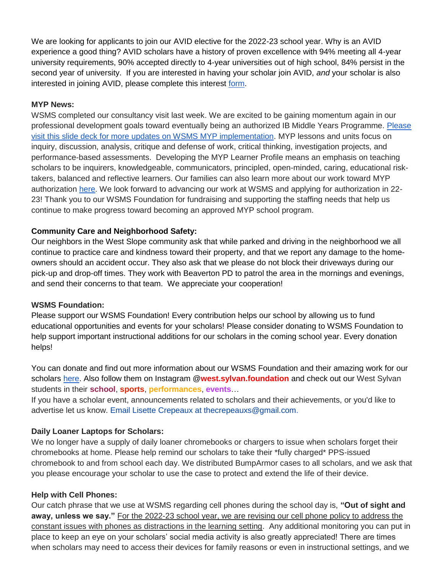We are looking for applicants to join our AVID elective for the 2022-23 school year. Why is an AVID experience a good thing? AVID scholars have a history of proven excellence with 94% meeting all 4-year university requirements, 90% accepted directly to 4-year universities out of high school, 84% persist in the second year of university. If you are interested in having your scholar join AVID, *and* your scholar is also interested in joining AVID, please complete this interest [form.](https://docs.google.com/forms/d/e/1FAIpQLSdpPNrTbbG1YoO1o0bwfKFg3SDu-UarWp5LE59aNPm0xsaCQg/viewform?usp=sf_link)

### **MYP News:**

WSMS completed our consultancy visit last week. We are excited to be gaining momentum again in our professional development goals toward eventually being an authorized IB Middle Years Programme. [Please](https://docs.google.com/presentation/d/17SY-I5PfW5t18hZZ0ELhA85-iVSoBrj6_zKBGUaFTP8/edit?usp=sharing)  [visit this slide deck for more updates on WSMS MYP implementation.](https://docs.google.com/presentation/d/17SY-I5PfW5t18hZZ0ELhA85-iVSoBrj6_zKBGUaFTP8/edit?usp=sharing) MYP lessons and units focus on inquiry, discussion, analysis, critique and defense of work, critical thinking, investigation projects, and performance-based assessments. Developing the MYP Learner Profile means an emphasis on teaching scholars to be inquirers, knowledgeable, communicators, principled, open-minded, caring, educational risktakers, balanced and reflective learners. Our families can also learn more about our work toward MYP authorization [here.](https://sites.google.com/pps.net/west-sylvan-myp/) We look forward to advancing our work at WSMS and applying for authorization in 22- 23! Thank you to our WSMS Foundation for fundraising and supporting the staffing needs that help us continue to make progress toward becoming an approved MYP school program.

### **Community Care and Neighborhood Safety:**

Our neighbors in the West Slope community ask that while parked and driving in the neighborhood we all continue to practice care and kindness toward their property, and that we report any damage to the homeowners should an accident occur. They also ask that we please do not block their driveways during our pick-up and drop-off times. They work with Beaverton PD to patrol the area in the mornings and evenings, and send their concerns to that team. We appreciate your cooperation!

### **WSMS Foundation:**

Please support our WSMS Foundation! Every contribution helps our school by allowing us to fund educational opportunities and events for your scholars! Please consider donating to WSMS Foundation to help support important instructional additions for our scholars in the coming school year. Every donation helps!

You can donate and find out more information about our WSMS Foundation and their amazing work for our scholars [here.](https://www.westsylvanfoundation.com/) Also follow them on Instagram @**west.sylvan.foundation** and check out our West Sylvan students in their **school**, **sports**, **performances**, **events**…

If you have a scholar event, announcements related to scholars and their achievements, or you'd like to advertise let us know. Email Lisette Crepeaux at thecrepeauxs@gmail.com.

### **Daily Loaner Laptops for Scholars:**

We no longer have a supply of daily loaner chromebooks or chargers to issue when scholars forget their chromebooks at home. Please help remind our scholars to take their \*fully charged\* PPS-issued chromebook to and from school each day. We distributed BumpArmor cases to all scholars, and we ask that you please encourage your scholar to use the case to protect and extend the life of their device.

### **Help with Cell Phones:**

Our catch phrase that we use at WSMS regarding cell phones during the school day is, **"Out of sight and away, unless we say."** For the 2022-23 school year, we are revising our cell phone policy to address the constant issues with phones as distractions in the learning setting. Any additional monitoring you can put in place to keep an eye on your scholars' social media activity is also greatly appreciated! There are times when scholars may need to access their devices for family reasons or even in instructional settings, and we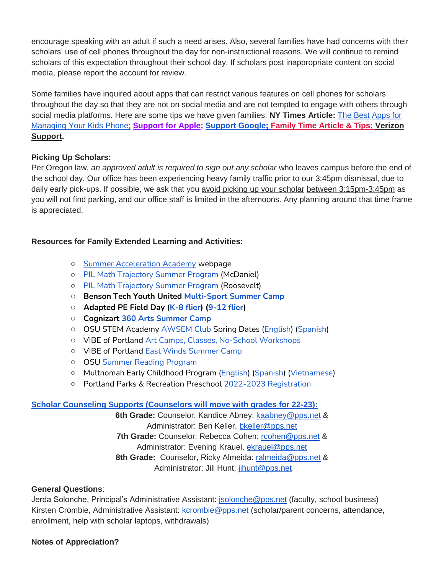encourage speaking with an adult if such a need arises. Also, several families have had concerns with their scholars' use of cell phones throughout the day for non-instructional reasons. We will continue to remind scholars of this expectation throughout their school day. If scholars post inappropriate content on social media, please report the account for review.

Some families have inquired about apps that can restrict various features on cell phones for scholars throughout the day so that they are not on social media and are not tempted to engage with others through social media platforms. Here are some tips we have given families: **NY Times Article:** [The Best Apps for](https://www.nytimes.com/wirecutter/reviews/best-apps-to-manage-your-kids-phone/)  [Managing Your Kids Phone;](https://www.nytimes.com/wirecutter/reviews/best-apps-to-manage-your-kids-phone/) **[Support for Apple;](https://support.apple.com/guide/iphone/set-up-parental-controls-iph00ba7d632/ios) [Support Google](https://support.google.com/families/answer/7103340?hl=en)[;](https://familytime.io/) [Family Time Article & Tips;](https://familytime.io/) [Verizon](https://www.verizon.com/support/verizon-smart-family-restrictions-video/)  [Support.](https://www.verizon.com/support/verizon-smart-family-restrictions-video/)** 

# **Picking Up Scholars:**

Per Oregon law, *an approved adult is required to sign out any scholar* who leaves campus before the end of the school day. Our office has been experiencing heavy family traffic prior to our 3:45pm dismissal, due to daily early pick-ups. If possible, we ask that you avoid picking up your scholar between 3:15pm-3:45pm as you will not find parking, and our office staff is limited in the afternoons. Any planning around that time frame is appreciated.

# **Resources for Family Extended Learning and Activities:**

- [Summer Acceleration Academy](https://www.pps.net/Page/18800) webpage
- [PIL Math Trajectory Summer Program](https://drive.google.com/file/d/1XarmInhnsUJjIuyCHFVA9LQRb8cNcT3e/view?ts=62743d49) (McDaniel)
- PIL Math [Trajectory Summer Program](https://drive.google.com/file/d/1L3IdHLV0aD_zJb5SYgHEJwbwQHtGHyrl/view?ts=62743d2b) (Roosevelt)
- **Benson Tech Youth United [Multi-Sport Summer Camp](https://www.pps.net/cms/lib/OR01913224/Centricity/Domain/254/Tech-Youth-United.pdf)**
- **Adapted PE Field Day [\(K-8 flier\)](https://docs.google.com/document/d/17BD2EPxtUqWPDV7DR1v7J_SytbtxZs6PLeFw2s3ZS5s/edit) [\(9-12 flier\)](https://docs.google.com/document/d/1urRRL6TDWbC-2TMClpTPmVF8B9hUmQIoPuQEtv-ELVo/edit)**
- **Cognizart [360 Arts Summer Camp](https://www.pps.net/cms/lib/OR01913224/Centricity/Domain/254/Cognizart-2022-360ArtsCamp.pdf)**
- OSU STEM Academy [AWSEM Club](https://www.pps.net/cms/lib/OR01913224/Centricity/Domain/254/AWSEM_Flyer_Combined_General.pdf) Spring Dates [\(English\)](https://www.pps.net/cms/lib/OR01913224/Centricity/Domain/254/AWSEM_spring2022_English.pdf) [\(Spanish\)](https://www.pps.net/cms/lib/OR01913224/Centricity/Domain/254/AWSEM_spring2022_Spanish.pdf)
- VIBE of Portland [Art Camps, Classes, No-School Workshops](https://www.pps.net/cms/lib/OR01913224/Centricity/Domain/254/VIBE.jpeg)
- VIBE of Portland East [Winds Summer Camp](https://www.pps.net/cms/lib/OR01913224/Centricity/Domain/254/VIBE-east_winds_2022.jpeg)
- OSU [Summer Reading Program](https://www.pps.net/cms/lib/OR01913224/Centricity/Domain/254/OSU-reading-summer-2022.pdf)
- Multnomah Early Childhood Program [\(English\)](https://www.pps.net/cms/lib/OR01913224/Centricity/Domain/254/MECP-2021-22-PEER-Flyer-English.pdf) [\(Spanish\)](https://www.pps.net/cms/lib/OR01913224/Centricity/Domain/254/MECP-2021-22-PEER-Flyer-Spanish.pdf) [\(Vietnamese\)](https://www.pps.net/cms/lib/OR01913224/Centricity/Domain/254/MECP-2021-22-PEER-Flyer-Vietnamese.pdf)
- Portland Parks & Recreation Preschool [2022-2023 Registration](https://www.pps.net/cms/lib/OR01913224/Centricity/Domain/254/PPR-Preschool-22-23-price-sheet.pdf)

# **[Scholar Counseling Supports \(Counselors will move with grades for 22-23\):](https://sites.google.com/pps.net/west-sylvan-counseling/)**

**6th Grade:** Counselor: Kandice Abney: [kaabney@pps.net](mailto:kaabney@pps.net) & Administrator: Ben Keller, [bkeller@pps.net](mailto:bkeller@pps.net) **7th Grade:** Counselor: Rebecca Cohen: [rcohen@pps.net](mailto:rcohen@pps.net) & Administrator: Evening Krauel, [ekrauel@pps.net](mailto:ekrauel@pps.net) 8th Grade: Counselor, Ricky Almeida: [ralmeida@pps.net](mailto:ralmeida@pps.net) & Administrator: Jill Hunt, [jihunt@pps.net](mailto:jihunt@pps.net)

# **General Questions**:

Jerda Solonche, Principal's Administrative Assistant: [jsolonche@pps.net](mailto:jsolonche@pps.net) (faculty, school business) Kirsten Crombie, Administrative Assistant: [kcrombie@pps.net](mailto:kcrombie@pps.net) (scholar/parent concerns, attendance, enrollment, help with scholar laptops, withdrawals)

# **Notes of Appreciation?**